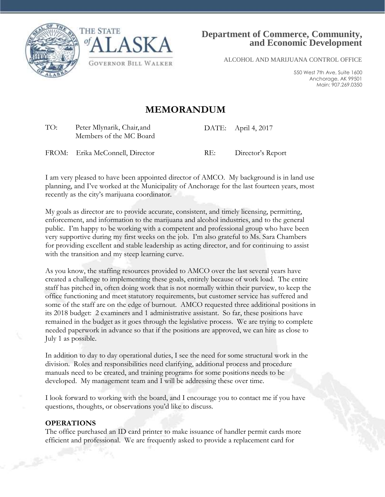



ALCOHOL AND MARIJUANA CONTROL OFFICE

550 West 7th Ave, Suite 1600 Anchorage, AK 99501 Main: 907.269.0350

# **MEMORANDUM**

TO: Peter Mlynarik, Chair, and Members of the MC Board DATE: April 4, 2017

FROM: Erika McConnell, Director RE: Director's Report

I am very pleased to have been appointed director of AMCO. My background is in land use planning, and I've worked at the Municipality of Anchorage for the last fourteen years, most recently as the city's marijuana coordinator.

My goals as director are to provide accurate, consistent, and timely licensing, permitting, enforcement, and information to the marijuana and alcohol industries, and to the general public. I'm happy to be working with a competent and professional group who have been very supportive during my first weeks on the job. I'm also grateful to Ms. Sara Chambers for providing excellent and stable leadership as acting director, and for continuing to assist with the transition and my steep learning curve.

As you know, the staffing resources provided to AMCO over the last several years have created a challenge to implementing these goals, entirely because of work load. The entire staff has pitched in, often doing work that is not normally within their purview, to keep the office functioning and meet statutory requirements, but customer service has suffered and some of the staff are on the edge of burnout. AMCO requested three additional positions in its 2018 budget: 2 examiners and 1 administrative assistant. So far, these positions have remained in the budget as it goes through the legislative process. We are trying to complete needed paperwork in advance so that if the positions are approved, we can hire as close to July 1 as possible.

In addition to day to day operational duties, I see the need for some structural work in the division. Roles and responsibilities need clarifying, additional process and procedure manuals need to be created, and training programs for some positions needs to be developed. My management team and I will be addressing these over time.

I look forward to working with the board, and I encourage you to contact me if you have questions, thoughts, or observations you'd like to discuss.

#### **OPERATIONS**

The office purchased an ID card printer to make issuance of handler permit cards more efficient and professional. We are frequently asked to provide a replacement card for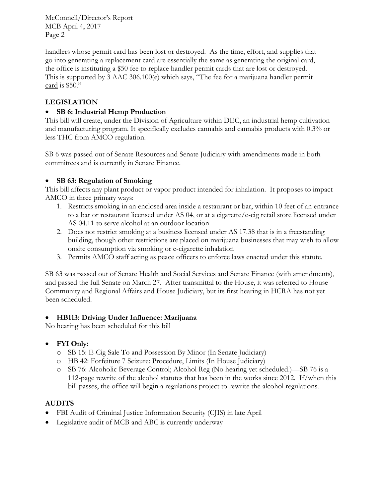McConnell/Director's Report MCB April 4, 2017 Page 2

handlers whose permit card has been lost or destroyed. As the time, effort, and supplies that go into generating a replacement card are essentially the same as generating the original card, the office is instituting a \$50 fee to replace handler permit cards that are lost or destroyed. This is supported by 3 AAC 306.100(e) which says, "The fee for a marijuana handler permit card is \$50."

# **LEGISLATION**

### **SB 6: Industrial Hemp Production**

This bill will create, under the Division of Agriculture within DEC, an industrial hemp cultivation and manufacturing program. It specifically excludes cannabis and cannabis products with 0.3% or less THC from AMCO regulation.

SB 6 was passed out of Senate Resources and Senate Judiciary with amendments made in both committees and is currently in Senate Finance.

### **SB 63: Regulation of Smoking**

This bill affects any plant product or vapor product intended for inhalation. It proposes to impact AMCO in three primary ways:

- 1. Restricts smoking in an enclosed area inside a restaurant or bar, within 10 feet of an entrance to a bar or restaurant licensed under AS 04, or at a cigarette/e-cig retail store licensed under AS 04.11 to serve alcohol at an outdoor location
- 2. Does not restrict smoking at a business licensed under AS 17.38 that is in a freestanding building, though other restrictions are placed on marijuana businesses that may wish to allow onsite consumption via smoking or e-cigarette inhalation
- 3. Permits AMCO staff acting as peace officers to enforce laws enacted under this statute.

SB 63 was passed out of Senate Health and Social Services and Senate Finance (with amendments), and passed the full Senate on March 27. After transmittal to the House, it was referred to House Community and Regional Affairs and House Judiciary, but its first hearing in HCRA has not yet been scheduled.

#### **HB113: Driving Under Influence: Marijuana**

No hearing has been scheduled for this bill

## **FYI Only:**

- o SB 15: E-Cig Sale To and Possession By Minor (In Senate Judiciary)
- o HB 42: Forfeiture 7 Seizure: Procedure, Limits (In House Judiciary)
- o SB 76: Alcoholic Beverage Control; Alcohol Reg (No hearing yet scheduled.)—SB 76 is a 112-page rewrite of the alcohol statutes that has been in the works since 2012. If/when this bill passes, the office will begin a regulations project to rewrite the alcohol regulations.

## **AUDITS**

- FBI Audit of Criminal Justice Information Security (CJIS) in late April
- Legislative audit of MCB and ABC is currently underway